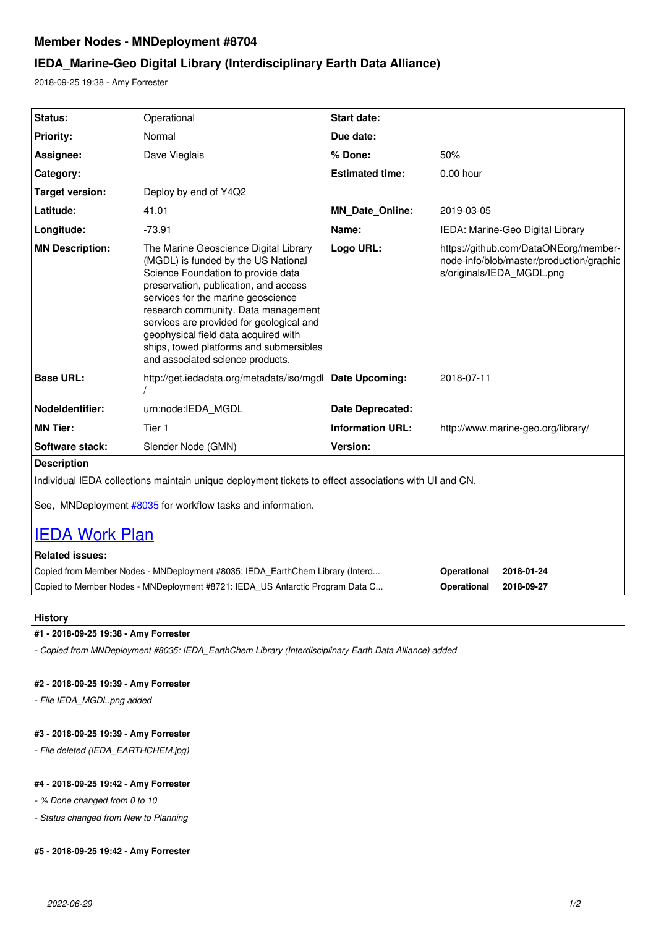# **Member Nodes - MNDeployment #8704**

# **IEDA\_Marine-Geo Digital Library (Interdisciplinary Earth Data Alliance)**

2018-09-25 19:38 - Amy Forrester

| Status:                                                                                               | Operational                                                                                                                                                                                                                                                                                                                                                                                                 | <b>Start date:</b>      |                                                                                                                |  |  |
|-------------------------------------------------------------------------------------------------------|-------------------------------------------------------------------------------------------------------------------------------------------------------------------------------------------------------------------------------------------------------------------------------------------------------------------------------------------------------------------------------------------------------------|-------------------------|----------------------------------------------------------------------------------------------------------------|--|--|
| <b>Priority:</b>                                                                                      | Normal                                                                                                                                                                                                                                                                                                                                                                                                      | Due date:               |                                                                                                                |  |  |
| Assignee:                                                                                             | Dave Vieglais                                                                                                                                                                                                                                                                                                                                                                                               | % Done:                 | 50%                                                                                                            |  |  |
| Category:                                                                                             |                                                                                                                                                                                                                                                                                                                                                                                                             | <b>Estimated time:</b>  | $0.00$ hour                                                                                                    |  |  |
| <b>Target version:</b>                                                                                | Deploy by end of Y4Q2                                                                                                                                                                                                                                                                                                                                                                                       |                         |                                                                                                                |  |  |
| Latitude:                                                                                             | 41.01                                                                                                                                                                                                                                                                                                                                                                                                       | <b>MN_Date_Online:</b>  | 2019-03-05                                                                                                     |  |  |
| Longitude:                                                                                            | $-73.91$                                                                                                                                                                                                                                                                                                                                                                                                    | Name:                   | IEDA: Marine-Geo Digital Library                                                                               |  |  |
| <b>MN Description:</b>                                                                                | The Marine Geoscience Digital Library<br>(MGDL) is funded by the US National<br>Science Foundation to provide data<br>preservation, publication, and access<br>services for the marine geoscience<br>research community. Data management<br>services are provided for geological and<br>geophysical field data acquired with<br>ships, towed platforms and submersibles<br>and associated science products. | Logo URL:               | https://github.com/DataONEorg/member-<br>node-info/blob/master/production/graphic<br>s/originals/IEDA MGDL.png |  |  |
| <b>Base URL:</b>                                                                                      | http://get.iedadata.org/metadata/iso/mgdl                                                                                                                                                                                                                                                                                                                                                                   | Date Upcoming:          | 2018-07-11                                                                                                     |  |  |
| Nodeldentifier:                                                                                       | urn:node:IEDA MGDL                                                                                                                                                                                                                                                                                                                                                                                          | <b>Date Deprecated:</b> |                                                                                                                |  |  |
| <b>MN Tier:</b>                                                                                       | Tier 1                                                                                                                                                                                                                                                                                                                                                                                                      | <b>Information URL:</b> | http://www.marine-geo.org/library/                                                                             |  |  |
| Software stack:                                                                                       | Slender Node (GMN)                                                                                                                                                                                                                                                                                                                                                                                          | <b>Version:</b>         |                                                                                                                |  |  |
| <b>Description</b>                                                                                    |                                                                                                                                                                                                                                                                                                                                                                                                             |                         |                                                                                                                |  |  |
| Individual IEDA collections maintain unique deployment tickets to effect associations with UI and CN. |                                                                                                                                                                                                                                                                                                                                                                                                             |                         |                                                                                                                |  |  |
| See, MNDeployment #8035 for workflow tasks and information.<br><b>IEDA Work Plan</b>                  |                                                                                                                                                                                                                                                                                                                                                                                                             |                         |                                                                                                                |  |  |

| <b>Related issues:</b>                                                        |             |            |
|-------------------------------------------------------------------------------|-------------|------------|
| Copied from Member Nodes - MNDeployment #8035: IEDA EarthChem Library (Interd | Operational | 2018-01-24 |
| Copied to Member Nodes - MNDeployment #8721: IEDA US Antarctic Program Data C | Operational | 2018-09-27 |

#### **History**

## **#1 - 2018-09-25 19:38 - Amy Forrester**

*- Copied from MNDeployment #8035: IEDA\_EarthChem Library (Interdisciplinary Earth Data Alliance) added*

## **#2 - 2018-09-25 19:39 - Amy Forrester**

*- File IEDA\_MGDL.png added*

# **#3 - 2018-09-25 19:39 - Amy Forrester**

*- File deleted (IEDA\_EARTHCHEM.jpg)*

#### **#4 - 2018-09-25 19:42 - Amy Forrester**

*- % Done changed from 0 to 10*

*- Status changed from New to Planning*

## **#5 - 2018-09-25 19:42 - Amy Forrester**